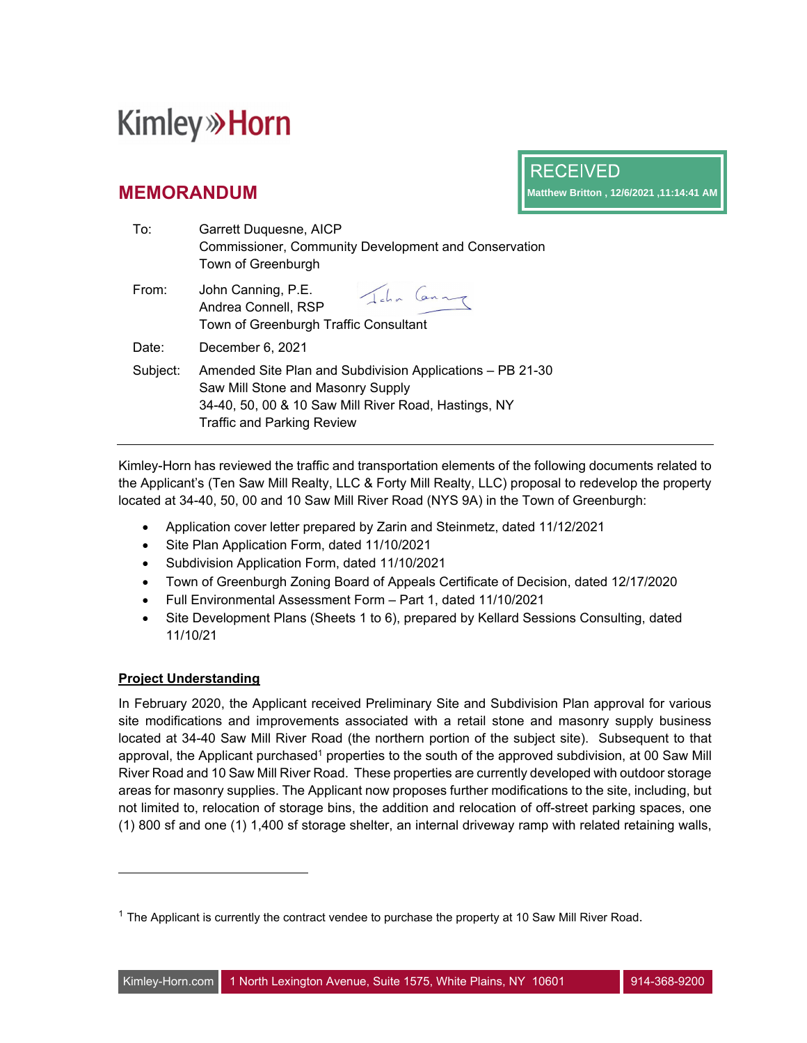## **Kimley» Horn**

### **MEMORANDUM**

**RECEIVED Matthew Britton , 12/6/2021 ,11:14:41 AM**

| To:      | Garrett Duquesne, AICP<br>Commissioner, Community Development and Conservation<br>Town of Greenburgh                                                                                        |
|----------|---------------------------------------------------------------------------------------------------------------------------------------------------------------------------------------------|
| From:    | John Canning, P.E.<br>John Canny<br>Andrea Connell, RSP<br>Town of Greenburgh Traffic Consultant                                                                                            |
| Date:    | December 6, 2021                                                                                                                                                                            |
| Subject: | Amended Site Plan and Subdivision Applications - PB 21-30<br>Saw Mill Stone and Masonry Supply<br>34-40, 50, 00 & 10 Saw Mill River Road, Hastings, NY<br><b>Traffic and Parking Review</b> |

Kimley-Horn has reviewed the traffic and transportation elements of the following documents related to the Applicant's (Ten Saw Mill Realty, LLC & Forty Mill Realty, LLC) proposal to redevelop the property located at 34-40, 50, 00 and 10 Saw Mill River Road (NYS 9A) in the Town of Greenburgh:

- Application cover letter prepared by Zarin and Steinmetz, dated 11/12/2021
- Site Plan Application Form, dated 11/10/2021
- Subdivision Application Form, dated 11/10/2021
- Town of Greenburgh Zoning Board of Appeals Certificate of Decision, dated 12/17/2020
- Full Environmental Assessment Form Part 1, dated 11/10/2021
- Site Development Plans (Sheets 1 to 6), prepared by Kellard Sessions Consulting, dated 11/10/21

#### **Project Understanding**

In February 2020, the Applicant received Preliminary Site and Subdivision Plan approval for various site modifications and improvements associated with a retail stone and masonry supply business located at 34-40 Saw Mill River Road (the northern portion of the subject site). Subsequent to that approval, the Applicant purchased<sup>1</sup> properties to the south of the approved subdivision, at 00 Saw Mill River Road and 10 Saw Mill River Road. These properties are currently developed with outdoor storage areas for masonry supplies. The Applicant now proposes further modifications to the site, including, but not limited to, relocation of storage bins, the addition and relocation of off-street parking spaces, one (1) 800 sf and one (1) 1,400 sf storage shelter, an internal driveway ramp with related retaining walls,

 $1$  The Applicant is currently the contract vendee to purchase the property at 10 Saw Mill River Road.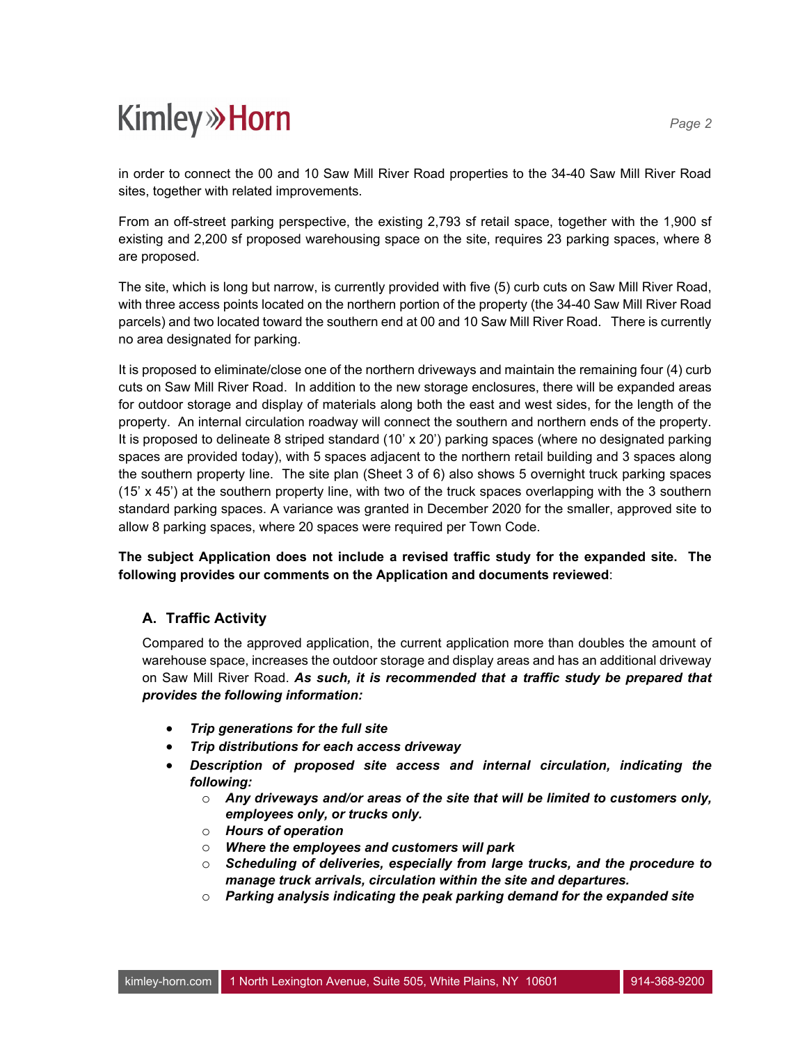# **Kimley»Horn**

in order to connect the 00 and 10 Saw Mill River Road properties to the 34-40 Saw Mill River Road sites, together with related improvements.

From an off-street parking perspective, the existing 2,793 sf retail space, together with the 1,900 sf existing and 2,200 sf proposed warehousing space on the site, requires 23 parking spaces, where 8 are proposed.

The site, which is long but narrow, is currently provided with five (5) curb cuts on Saw Mill River Road, with three access points located on the northern portion of the property (the 34-40 Saw Mill River Road parcels) and two located toward the southern end at 00 and 10 Saw Mill River Road. There is currently no area designated for parking.

It is proposed to eliminate/close one of the northern driveways and maintain the remaining four (4) curb cuts on Saw Mill River Road. In addition to the new storage enclosures, there will be expanded areas for outdoor storage and display of materials along both the east and west sides, for the length of the property. An internal circulation roadway will connect the southern and northern ends of the property. It is proposed to delineate 8 striped standard (10' x 20') parking spaces (where no designated parking spaces are provided today), with 5 spaces adjacent to the northern retail building and 3 spaces along the southern property line. The site plan (Sheet 3 of 6) also shows 5 overnight truck parking spaces (15' x 45') at the southern property line, with two of the truck spaces overlapping with the 3 southern standard parking spaces. A variance was granted in December 2020 for the smaller, approved site to allow 8 parking spaces, where 20 spaces were required per Town Code.

**The subject Application does not include a revised traffic study for the expanded site. The following provides our comments on the Application and documents reviewed**:

#### **A. Traffic Activity**

Compared to the approved application, the current application more than doubles the amount of warehouse space, increases the outdoor storage and display areas and has an additional driveway on Saw Mill River Road. *As such, it is recommended that a traffic study be prepared that provides the following information:*

- *Trip generations for the full site*
- *Trip distributions for each access driveway*
- *Description of proposed site access and internal circulation, indicating the following:*
	- o *Any driveways and/or areas of the site that will be limited to customers only, employees only, or trucks only.*
	- o *Hours of operation*
	- o *Where the employees and customers will park*
	- o *Scheduling of deliveries, especially from large trucks, and the procedure to manage truck arrivals, circulation within the site and departures.*
	- o *Parking analysis indicating the peak parking demand for the expanded site*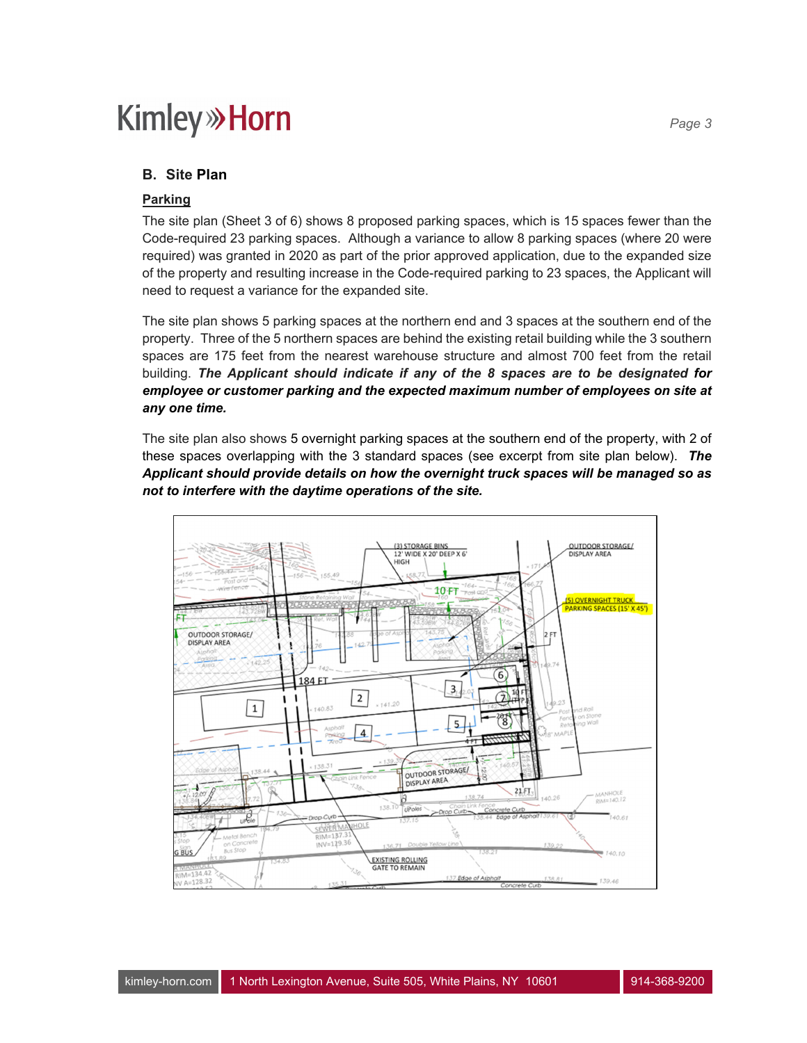### **Kimley»Horn**

#### **B. Site Plan**

#### **Parking**

The site plan (Sheet 3 of 6) shows 8 proposed parking spaces, which is 15 spaces fewer than the Code-required 23 parking spaces. Although a variance to allow 8 parking spaces (where 20 were required) was granted in 2020 as part of the prior approved application, due to the expanded size of the property and resulting increase in the Code-required parking to 23 spaces, the Applicant will need to request a variance for the expanded site.

The site plan shows 5 parking spaces at the northern end and 3 spaces at the southern end of the property. Three of the 5 northern spaces are behind the existing retail building while the 3 southern spaces are 175 feet from the nearest warehouse structure and almost 700 feet from the retail building. *The Applicant should indicate if any of the 8 spaces are to be designated for*  employee or customer parking and the expected maximum number of employees on site at *any one time.*

The site plan also shows 5 overnight parking spaces at the southern end of the property, with 2 of these spaces overlapping with the 3 standard spaces (see excerpt from site plan below). *The Applicant should provide details on how the overnight truck spaces will be managed so as not to interfere with the daytime operations of the site.*

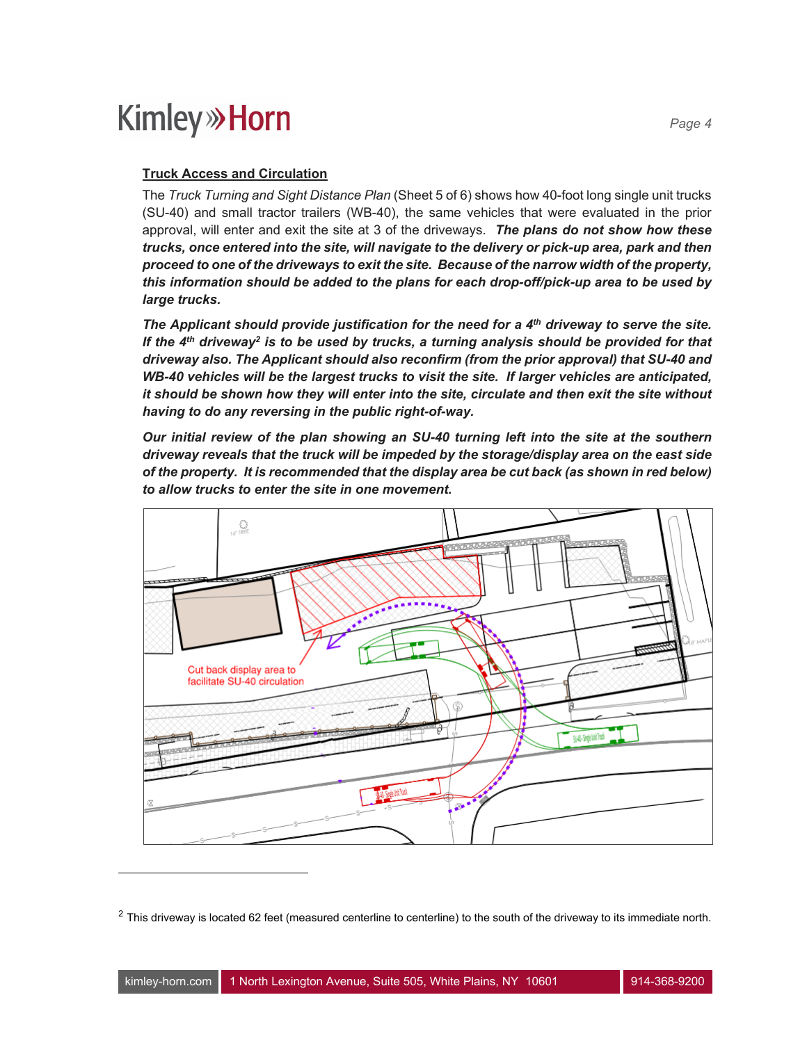### **Kimley»Horn**

#### **Truck Access and Circulation**

The *Truck Turning and Sight Distance Plan* (Sheet 5 of 6) shows how 40-foot long single unit trucks (SU-40) and small tractor trailers (WB-40), the same vehicles that were evaluated in the prior approval, will enter and exit the site at 3 of the driveways. *The plans do not show how these trucks, once entered into the site, will navigate to the delivery or pick-up area, park and then proceed to one of the driveways to exit the site. Because of the narrow width of the property, this information should be added to the plans for each drop-off/pick-up area to be used by large trucks.* 

The Applicant should provide justification for the need for a 4<sup>th</sup> driveway to serve the site. If the 4<sup>th</sup> driveway<sup>2</sup> is to be used by trucks, a turning analysis should be provided for that *driveway also. The Applicant should also reconfirm (from the prior approval) that SU-40 and WB-40 vehicles will be the largest trucks to visit the site. If larger vehicles are anticipated, it should be shown how they will enter into the site, circulate and then exit the site without having to do any reversing in the public right-of-way.* 

*Our initial review of the plan showing an SU-40 turning left into the site at the southern driveway reveals that the truck will be impeded by the storage/display area on the east side of the property. It is recommended that the display area be cut back (as shown in red below) to allow trucks to enter the site in one movement.* 



 $2$  This driveway is located 62 feet (measured centerline to centerline) to the south of the driveway to its immediate north.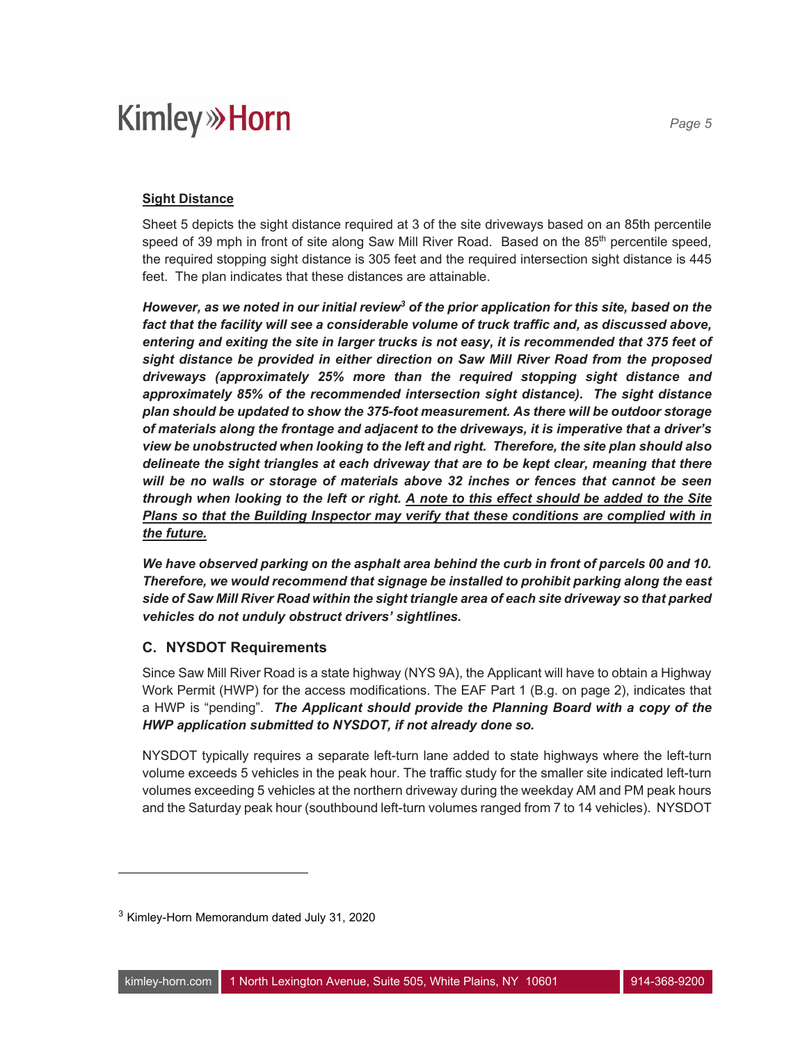## **Kimley» Horn**

Sheet 5 depicts the sight distance required at 3 of the site driveways based on an 85th percentile speed of 39 mph in front of site along Saw Mill River Road. Based on the  $85<sup>th</sup>$  percentile speed, the required stopping sight distance is 305 feet and the required intersection sight distance is 445 feet. The plan indicates that these distances are attainable.

*However, as we noted in our initial review<sup>3</sup> of the prior application for this site, based on the* fact that the facility will see a considerable volume of truck traffic and, as discussed above, *entering and exiting the site in larger trucks is not easy, it is recommended that 375 feet of sight distance be provided in either direction on Saw Mill River Road from the proposed driveways (approximately 25% more than the required stopping sight distance and approximately 85% of the recommended intersection sight distance). The sight distance plan should be updated to show the 375-foot measurement. As there will be outdoor storage of materials along the frontage and adjacent to the driveways, it is imperative that a driver's view be unobstructed when looking to the left and right. Therefore, the site plan should also delineate the sight triangles at each driveway that are to be kept clear, meaning that there will be no walls or storage of materials above 32 inches or fences that cannot be seen through when looking to the left or right. A note to this effect should be added to the Site Plans so that the Building Inspector may verify that these conditions are complied with in the future.* 

*We have observed parking on the asphalt area behind the curb in front of parcels 00 and 10. Therefore, we would recommend that signage be installed to prohibit parking along the east side of Saw Mill River Road within the sight triangle area of each site driveway so that parked vehicles do not unduly obstruct drivers' sightlines.* 

#### **C. NYSDOT Requirements**

Since Saw Mill River Road is a state highway (NYS 9A), the Applicant will have to obtain a Highway Work Permit (HWP) for the access modifications. The EAF Part 1 (B.g. on page 2), indicates that a HWP is "pending". *The Applicant should provide the Planning Board with a copy of the HWP application submitted to NYSDOT, if not already done so.*

NYSDOT typically requires a separate left-turn lane added to state highways where the left-turn volume exceeds 5 vehicles in the peak hour. The traffic study for the smaller site indicated left-turn volumes exceeding 5 vehicles at the northern driveway during the weekday AM and PM peak hours and the Saturday peak hour (southbound left-turn volumes ranged from 7 to 14 vehicles). NYSDOT

*Page 5* 

<sup>&</sup>lt;sup>3</sup> Kimley-Horn Memorandum dated July 31, 2020